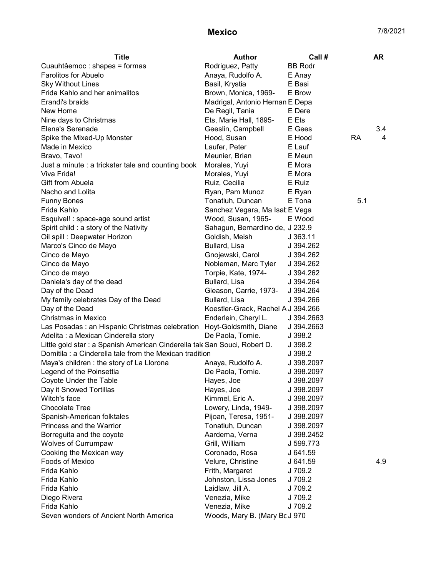## **Mexico** 7/8/2021

| <b>Title</b>                                                               | <b>Author</b>                      | Call #         |     | <b>AR</b> |
|----------------------------------------------------------------------------|------------------------------------|----------------|-----|-----------|
| Cuauhtâemoc : shapes = formas                                              | Rodriguez, Patty                   | <b>BB Rodr</b> |     |           |
| <b>Farolitos for Abuelo</b>                                                | Anaya, Rudolfo A.                  | E Anay         |     |           |
| <b>Sky Without Lines</b>                                                   | Basil, Krystia                     | E Basi         |     |           |
| Frida Kahlo and her animalitos                                             | Brown, Monica, 1969-               | E Brow         |     |           |
| Erandi's braids                                                            | Madrigal, Antonio Hernan E Depa    |                |     |           |
| New Home                                                                   | De Regil, Tania                    | E Dere         |     |           |
| Nine days to Christmas                                                     | Ets, Marie Hall, 1895-             | E Ets          |     |           |
| Elena's Serenade                                                           | Geeslin, Campbell                  | E Gees         |     | 3.4       |
| Spike the Mixed-Up Monster                                                 | Hood, Susan                        | E Hood         | RA  | 4         |
| Made in Mexico                                                             | Laufer, Peter                      | E Lauf         |     |           |
| Bravo, Tavo!                                                               | Meunier, Brian                     | E Meun         |     |           |
| Just a minute : a trickster tale and counting book                         | Morales, Yuyi                      | E Mora         |     |           |
| Viva Frida!                                                                | Morales, Yuyi                      | E Mora         |     |           |
| Gift from Abuela                                                           | Ruiz, Cecilia                      | E Ruiz         |     |           |
| Nacho and Lolita                                                           | Ryan, Pam Munoz                    | E Ryan         |     |           |
| <b>Funny Bones</b>                                                         | Tonatiuh, Duncan                   | E Tona         | 5.1 |           |
| Frida Kahlo                                                                | Sanchez Vegara, Ma Isal E Vega     |                |     |           |
| Esquivel! : space-age sound artist                                         | Wood, Susan, 1965-                 | E Wood         |     |           |
| Spirit child : a story of the Nativity                                     | Sahagun, Bernardino de, J 232.9    |                |     |           |
| Oil spill : Deepwater Horizon                                              | Goldish, Meish                     | J363.11        |     |           |
| Marco's Cinco de Mayo                                                      | Bullard, Lisa                      | J 394.262      |     |           |
| Cinco de Mayo                                                              | Gnojewski, Carol                   | J 394.262      |     |           |
| Cinco de Mayo                                                              | Nobleman, Marc Tyler               | J 394.262      |     |           |
| Cinco de mayo                                                              | Torpie, Kate, 1974-                | J 394.262      |     |           |
| Daniela's day of the dead                                                  | Bullard, Lisa                      | J 394.264      |     |           |
| Day of the Dead                                                            | Gleason, Carrie, 1973-             | J 394.264      |     |           |
| My family celebrates Day of the Dead                                       | Bullard, Lisa                      | J 394.266      |     |           |
| Day of the Dead                                                            | Koestler-Grack, Rachel A J 394.266 |                |     |           |
| Christmas in Mexico                                                        | Enderlein, Cheryl L.               | J 394.2663     |     |           |
| Las Posadas: an Hispanic Christmas celebration Hoyt-Goldsmith, Diane       |                                    | J 394.2663     |     |           |
| Adelita : a Mexican Cinderella story                                       | De Paola, Tomie.                   | J 398.2        |     |           |
| Little gold star : a Spanish American Cinderella tale San Souci, Robert D. |                                    | J 398.2        |     |           |
| Domitila : a Cinderella tale from the Mexican tradition                    |                                    | J 398.2        |     |           |
| Maya's children : the story of La Llorona                                  | Anaya, Rudolfo A.                  | J 398.2097     |     |           |
| Legend of the Poinsettia                                                   | De Paola, Tomie.                   | J 398.2097     |     |           |
| Coyote Under the Table                                                     | Hayes, Joe                         | J 398.2097     |     |           |
| Day it Snowed Tortillas                                                    | Hayes, Joe                         | J 398.2097     |     |           |
| Witch's face                                                               | Kimmel, Eric A.                    | J 398.2097     |     |           |
| <b>Chocolate Tree</b>                                                      | Lowery, Linda, 1949-               | J 398.2097     |     |           |
| Spanish-American folktales                                                 | Pijoan, Teresa, 1951-              | J 398.2097     |     |           |
| Princess and the Warrior                                                   | Tonatiuh, Duncan                   | J 398.2097     |     |           |
| Borreguita and the coyote                                                  | Aardema, Verna                     | J 398.2452     |     |           |
| <b>Wolves of Currumpaw</b>                                                 | Grill, William                     | J 599.773      |     |           |
| Cooking the Mexican way                                                    | Coronado, Rosa                     | J 641.59       |     |           |
| <b>Foods of Mexico</b>                                                     | Velure, Christine                  | J 641.59       |     | 4.9       |
| Frida Kahlo                                                                | Frith, Margaret                    | J 709.2        |     |           |
| Frida Kahlo                                                                | Johnston, Lissa Jones              | J 709.2        |     |           |
| Frida Kahlo                                                                | Laidlaw, Jill A.                   | J 709.2        |     |           |
| Diego Rivera                                                               | Venezia, Mike                      | J 709.2        |     |           |
| Frida Kahlo                                                                | Venezia, Mike                      | J 709.2        |     |           |
| Seven wonders of Ancient North America                                     | Woods, Mary B. (Mary Bc J 970      |                |     |           |